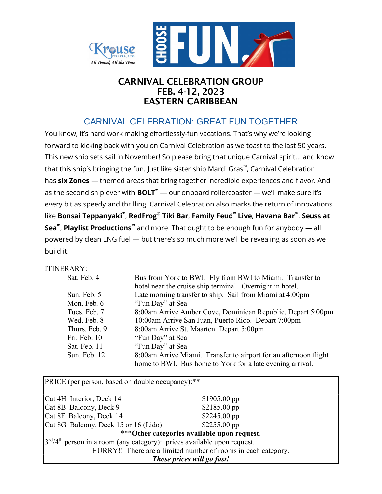

## CARNIVAL CELEBRATION GROUP FEB. 4-12, 2023 EASTERN CARIBBEAN

# CARNIVAL CELEBRATION: GREAT FUN TOGETHER

You know, it's hard work making effortlessly-fun vacations. That's why we're looking forward to kicking back with you on Carnival Celebration as we toast to the last 50 years. This new ship sets sail in November! So please bring that unique Carnival spirit... and know that this ship's bringing the fun. Just like sister ship Mardi Gras™ , Carnival Celebration has six Zones - themed areas that bring together incredible experiences and flavor. And as the second ship ever with  $BOLT^{"}$   $\rightarrow$  our onboard rollercoaster  $\rightarrow$  we'll make sure it's every bit as speedy and thrilling. Carnival Celebration also marks the return of innovations like **Bonsai Teppanyaki™, RedFrog® Tiki Bar, Family Feud™ Live, Havana Bar™, Seuss at Sea™, Playlist Productions**™ and more. That ought to be enough fun for anybody — all powered by clean LNG fuel — but there's so much more we'll be revealing as soon as we build it.

## ITINERARY:

| Sat. Feb. 4   | Bus from York to BWI. Fly from BWI to Miami. Transfer to         |
|---------------|------------------------------------------------------------------|
|               | hotel near the cruise ship terminal. Overnight in hotel.         |
| Sun. Feb. 5   | Late morning transfer to ship. Sail from Miami at 4:00pm         |
| Mon. Feb. 6   | "Fun Day" at Sea                                                 |
| Tues. Feb. 7  | 8:00am Arrive Amber Cove, Dominican Republic. Depart 5:00pm      |
| Wed. Feb. 8   | 10:00am Arrive San Juan, Puerto Rico. Depart 7:00pm              |
| Thurs. Feb. 9 | 8:00am Arrive St. Maarten. Depart 5:00pm                         |
| Fri. Feb. 10  | "Fun Day" at Sea                                                 |
| Sat. Feb. 11  | "Fun Day" at Sea                                                 |
| Sun. Feb. 12  | 8:00am Arrive Miami. Transfer to airport for an afternoon flight |
|               | home to BWI. Bus home to York for a late evening arrival.        |

PRICE (per person, based on double occupancy):\*\* Cat 4H Interior, Deck 14 \$1905.00 pp Cat 8B Balcony, Deck 9 \$2185.00 pp  $Cat 8F$  Balcony, Deck 14  $$2245.00$  pp Cat 8G Balcony, Deck 15 or 16 (Lido) \$2255.00 pp \*\*\*Other categories available upon request. 3<sup>rd</sup>/4<sup>th</sup> person in a room (any category): prices available upon request. HURRY!! There are a limited number of rooms in each category. These prices will go fast!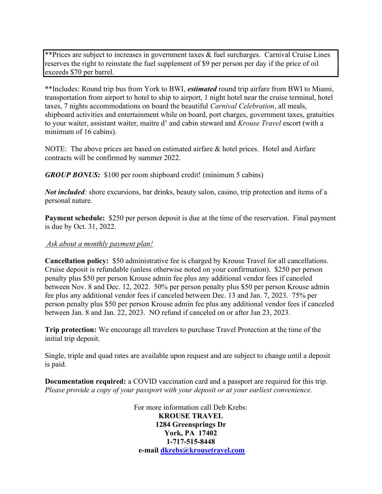\*\*Prices are subject to increases in government taxes & fuel surcharges. Carnival Cruise Lines reserves the right to reinstate the fuel supplement of \$9 per person per day if the price of oil exceeds \$70 per barrel.

\*\*Includes: Round trip bus from York to BWI, *estimated* round trip airfare from BWI to Miami, transportation from airport to hotel to ship to airport, 1 night hotel near the cruise terminal, hotel taxes, 7 nights accommodations on board the beautiful Carnival Celebration, all meals, shipboard activities and entertainment while on board, port charges, government taxes, gratuities to your waiter, assistant waiter, maitre d' and cabin steward and Krouse Travel escort (with a minimum of 16 cabins).

NOTE: The above prices are based on estimated airfare & hotel prices. Hotel and Airfare contracts will be confirmed by summer 2022.

GROUP BONUS: \$100 per room shipboard credit! (minimum 5 cabins)

Not included: shore excursions, bar drinks, beauty salon, casino, trip protection and items of a personal nature.

Payment schedule: \$250 per person deposit is due at the time of the reservation. Final payment is due by Oct. 31, 2022.

#### Ask about a monthly payment plan!

Cancellation policy: \$50 administrative fee is charged by Krouse Travel for all cancellations. Cruise deposit is refundable (unless otherwise noted on your confirmation). \$250 per person penalty plus \$50 per person Krouse admin fee plus any additional vendor fees if canceled between Nov. 8 and Dec. 12, 2022. 50% per person penalty plus \$50 per person Krouse admin fee plus any additional vendor fees if canceled between Dec. 13 and Jan. 7, 2023. 75% per person penalty plus \$50 per person Krouse admin fee plus any additional vendor fees if canceled between Jan. 8 and Jan. 22, 2023. NO refund if canceled on or after Jan 23, 2023.

Trip protection: We encourage all travelers to purchase Travel Protection at the time of the initial trip deposit.

Single, triple and quad rates are available upon request and are subject to change until a deposit is paid.

Documentation required: a COVID vaccination card and a passport are required for this trip. Please provide a copy of your passport with your deposit or at your earliest convenience.

> For more information call Deb Krebs: KROUSE TRAVEL 1284 Greensprings Dr York, PA 17402 1-717-515-8448 e-mail dkrebs@krousetravel.com